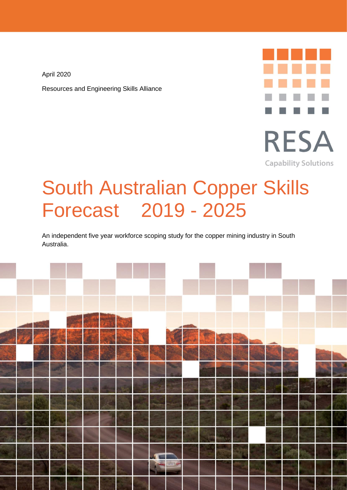April 2020 Resources and Engineering Skills Alliance



# South Australian Copper Skills Forecast 2019 - 2025

An independent five year workforce scoping study for the copper mining industry in South Australia.

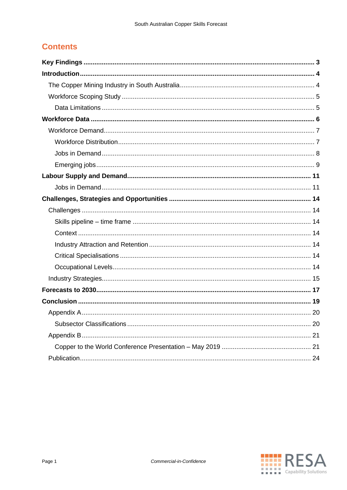# **Contents**

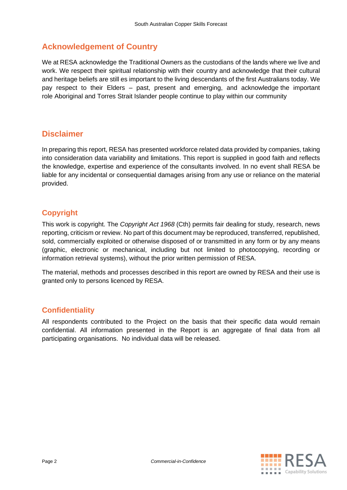# **Acknowledgement of Country**

We at RESA acknowledge the Traditional Owners as the custodians of the lands where we live and work. We respect their spiritual relationship with their country and acknowledge that their cultural and heritage beliefs are still es important to the living descendants of the first Australians today. We pay respect to their Elders – past, present and emerging, and acknowledge the important role Aboriginal and Torres Strait Islander people continue to play within our community

## **Disclaimer**

In preparing this report, RESA has presented workforce related data provided by companies, taking into consideration data variability and limitations. This report is supplied in good faith and reflects the knowledge, expertise and experience of the consultants involved. In no event shall RESA be liable for any incidental or consequential damages arising from any use or reliance on the material provided.

## **Copyright**

This work is copyright. The *Copyright Act 1968* (Cth) permits fair dealing for study, research, news reporting, criticism or review. No part of this document may be reproduced, transferred, republished, sold, commercially exploited or otherwise disposed of or transmitted in any form or by any means (graphic, electronic or mechanical, including but not limited to photocopying, recording or information retrieval systems), without the prior written permission of RESA.

The material, methods and processes described in this report are owned by RESA and their use is granted only to persons licenced by RESA.

## **Confidentiality**

All respondents contributed to the Project on the basis that their specific data would remain confidential. All information presented in the Report is an aggregate of final data from all participating organisations. No individual data will be released.

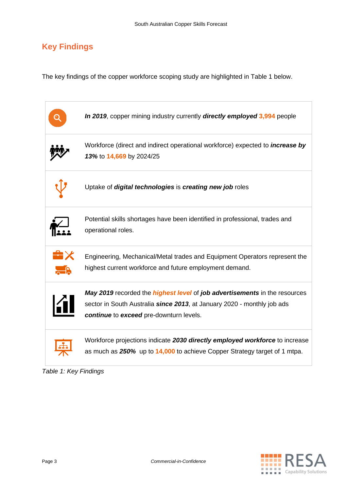# <span id="page-3-0"></span>**Key Findings**

The key findings of the copper workforce scoping study are highlighted in Table 1 below.



<span id="page-3-1"></span>

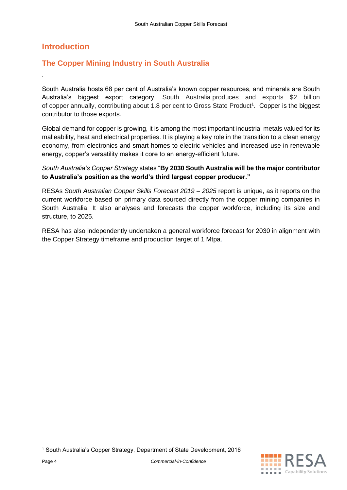## **Introduction**

.

## <span id="page-4-0"></span>**The Copper Mining Industry in South Australia**

South Australia hosts 68 per cent of Australia's known copper resources, and minerals are South Australia's biggest export category. South Australia produces and exports \$2 billion of copper annually, contributing about 1.8 per cent to Gross State Product<sup>1</sup>. Copper is the biggest contributor to those exports.

Global demand for copper is growing, it is among the most important industrial metals valued for its malleability, heat and electrical properties. It is playing a key role in the transition to a clean energy economy, from electronics and smart homes to electric vehicles and increased use in renewable energy, copper's versatility makes it core to an energy-efficient future.

#### *South Australia's Copper Strategy* states "**By 2030 South Australia will be the major contributor to Australia's position as the world's third largest copper producer."**

RESAs *South Australian Copper Skills Forecast 2019 – 2025* report is unique, as it reports on the current workforce based on primary data sourced directly from the copper mining companies in South Australia. It also analyses and forecasts the copper workforce, including its size and structure, to 2025.

RESA has also independently undertaken a general workforce forecast for 2030 in alignment with the Copper Strategy timeframe and production target of 1 Mtpa.

<sup>1</sup> South Australia's Copper Strategy, Department of State Development, 2016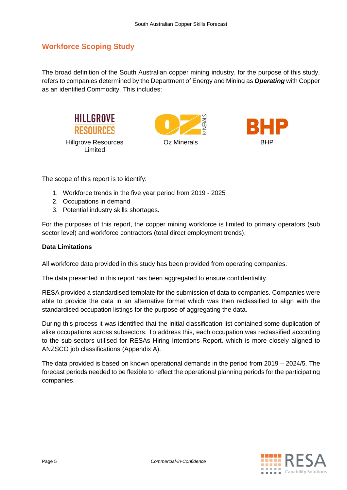## <span id="page-5-0"></span>**Workforce Scoping Study**

The broad definition of the South Australian copper mining industry, for the purpose of this study, refers to companies determined by the Department of Energy and Mining as *Operating* with Copper as an identified Commodity. This includes:



The scope of this report is to identify:

- 1. Workforce trends in the five year period from 2019 2025
- 2. Occupations in demand
- 3. Potential industry skills shortages.

For the purposes of this report, the copper mining workforce is limited to primary operators (sub sector level) and workforce contractors (total direct employment trends).

#### <span id="page-5-1"></span>**Data Limitations**

All workforce data provided in this study has been provided from operating companies.

The data presented in this report has been aggregated to ensure confidentiality.

RESA provided a standardised template for the submission of data to companies. Companies were able to provide the data in an alternative format which was then reclassified to align with the standardised occupation listings for the purpose of aggregating the data.

During this process it was identified that the initial classification list contained some duplication of alike occupations across subsectors. To address this, each occupation was reclassified according to the sub-sectors utilised for RESAs Hiring Intentions Report. which is more closely aligned to ANZSCO job classifications (Appendix A).

The data provided is based on known operational demands in the period from 2019 – 2024/5. The forecast periods needed to be flexible to reflect the operational planning periods for the participating companies.

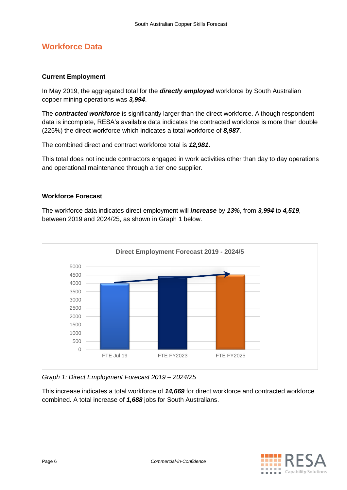# <span id="page-6-0"></span>**Workforce Data**

#### **Current Employment**

In May 2019, the aggregated total for the *directly employed* workforce by South Australian copper mining operations was *3,994*.

The *contracted workforce* is significantly larger than the direct workforce. Although respondent data is incomplete, RESA's available data indicates the contracted workforce is more than double (225%) the direct workforce which indicates a total workforce of *8,987*.

The combined direct and contract workforce total is *12,981***.**

This total does not include contractors engaged in work activities other than day to day operations and operational maintenance through a tier one supplier.

#### **Workforce Forecast**

The workforce data indicates direct employment will *increase* by *13%*, from *3,994* to *4,519*, between 2019 and 2024/25, as shown in Graph 1 below.



*Graph 1: Direct Employment Forecast 2019 – 2024/25*

<span id="page-6-1"></span>This increase indicates a total workforce of *14,669* for direct workforce and contracted workforce combined. A total increase of *1,688* jobs for South Australians.

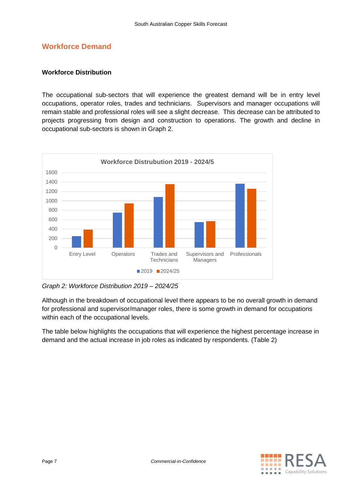## **Workforce Demand**

#### <span id="page-7-0"></span>**Workforce Distribution**

The occupational sub-sectors that will experience the greatest demand will be in entry level occupations, operator roles, trades and technicians. Supervisors and manager occupations will remain stable and professional roles will see a slight decrease. This decrease can be attributed to projects progressing from design and construction to operations. The growth and decline in occupational sub-sectors is shown in Graph 2.



*Graph 2: Workforce Distribution 2019 – 2024/25*

Although in the breakdown of occupational level there appears to be no overall growth in demand for professional and supervisor/manager roles, there is some growth in demand for occupations within each of the occupational levels.

The table below highlights the occupations that will experience the highest percentage increase in demand and the actual increase in job roles as indicated by respondents. (Table 2)

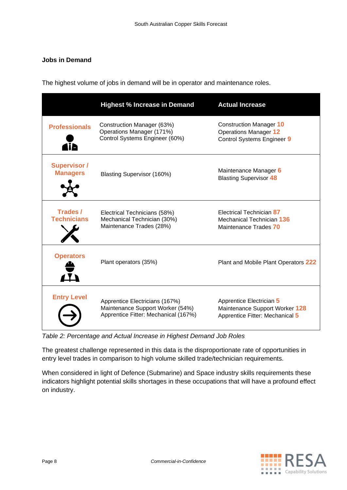#### <span id="page-8-0"></span>**Jobs in Demand**

The highest volume of jobs in demand will be in operator and maintenance roles.

|                                        | <b>Highest % Increase in Demand</b>                                                                        | <b>Actual Increase</b>                                                                              |
|----------------------------------------|------------------------------------------------------------------------------------------------------------|-----------------------------------------------------------------------------------------------------|
| <b>Professionals</b>                   | Construction Manager (63%)<br>Operations Manager (171%)<br>Control Systems Engineer (60%)                  | <b>Construction Manager 10</b><br><b>Operations Manager 12</b><br><b>Control Systems Engineer 9</b> |
| <b>Supervisor /</b><br><b>Managers</b> | Blasting Supervisor (160%)                                                                                 | Maintenance Manager 6<br><b>Blasting Supervisor 48</b>                                              |
| Trades /<br><b>Technicians</b>         | Electrical Technicians (58%)<br>Mechanical Technician (30%)<br>Maintenance Trades (28%)                    | Electrical Technician 87<br>Mechanical Technician 136<br>Maintenance Trades 70                      |
| <b>Operators</b>                       | Plant operators (35%)                                                                                      | Plant and Mobile Plant Operators 222                                                                |
| <b>Entry Level</b>                     | Apprentice Electricians (167%)<br>Maintenance Support Worker (54%)<br>Apprentice Fitter: Mechanical (167%) | Apprentice Electrician 5<br>Maintenance Support Worker 128<br>Apprentice Fitter: Mechanical 5       |

*Table 2: Percentage and Actual Increase in Highest Demand Job Roles*

The greatest challenge represented in this data is the disproportionate rate of opportunities in entry level trades in comparison to high volume skilled trade/technician requirements.

When considered in light of Defence (Submarine) and Space industry skills requirements these indicators highlight potential skills shortages in these occupations that will have a profound effect on industry.

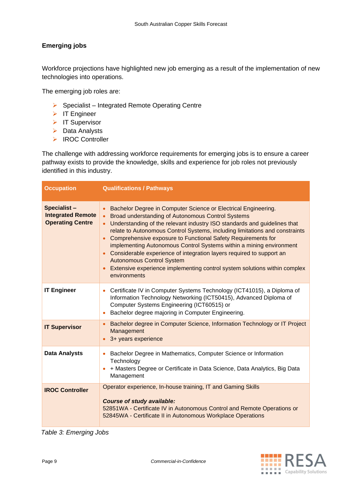#### <span id="page-9-0"></span>**Emerging jobs**

Workforce projections have highlighted new job emerging as a result of the implementation of new technologies into operations.

The emerging job roles are:

- ➢ Specialist Integrated Remote Operating Centre
- ➢ IT Engineer
- ➢ IT Supervisor
- ➢ Data Analysts
- ➢ IROC Controller

The challenge with addressing workforce requirements for emerging jobs is to ensure a career pathway exists to provide the knowledge, skills and experience for job roles not previously identified in this industry.

| <b>Occupation</b>                                                         | <b>Qualifications / Pathways</b>                                                                                                                                                                                                                                                                                                                                                                                                                                                                                                                                                                                                                   |
|---------------------------------------------------------------------------|----------------------------------------------------------------------------------------------------------------------------------------------------------------------------------------------------------------------------------------------------------------------------------------------------------------------------------------------------------------------------------------------------------------------------------------------------------------------------------------------------------------------------------------------------------------------------------------------------------------------------------------------------|
| <b>Specialist-</b><br><b>Integrated Remote</b><br><b>Operating Centre</b> | Bachelor Degree in Computer Science or Electrical Engineering.<br><b>Broad understanding of Autonomous Control Systems</b><br>$\bullet$<br>Understanding of the relevant industry ISO standards and guidelines that<br>relate to Autonomous Control Systems, including limitations and constraints<br>Comprehensive exposure to Functional Safety Requirements for<br>implementing Autonomous Control Systems within a mining environment<br>Considerable experience of integration layers required to support an<br><b>Autonomous Control System</b><br>Extensive experience implementing control system solutions within complex<br>environments |
| <b>IT Engineer</b>                                                        | Certificate IV in Computer Systems Technology (ICT41015), a Diploma of<br>Information Technology Networking (ICT50415), Advanced Diploma of<br>Computer Systems Engineering (ICT60515) or<br>Bachelor degree majoring in Computer Engineering.                                                                                                                                                                                                                                                                                                                                                                                                     |
| <b>IT Supervisor</b>                                                      | Bachelor degree in Computer Science, Information Technology or IT Project<br>$\bullet$<br>Management<br>3+ years experience                                                                                                                                                                                                                                                                                                                                                                                                                                                                                                                        |
| <b>Data Analysts</b>                                                      | Bachelor Degree in Mathematics, Computer Science or Information<br>$\bullet$<br>Technology<br>+ Masters Degree or Certificate in Data Science, Data Analytics, Big Data<br>Management                                                                                                                                                                                                                                                                                                                                                                                                                                                              |
| <b>IROC Controller</b>                                                    | Operator experience, In-house training, IT and Gaming Skills<br><b>Course of study available:</b><br>52851WA - Certificate IV in Autonomous Control and Remote Operations or<br>52845WA - Certificate II in Autonomous Workplace Operations                                                                                                                                                                                                                                                                                                                                                                                                        |

*Table 3: Emerging Jobs*

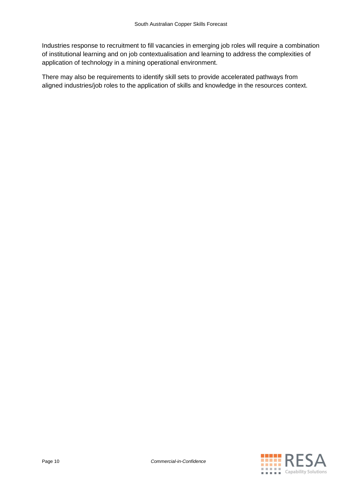Industries response to recruitment to fill vacancies in emerging job roles will require a combination of institutional learning and on job contextualisation and learning to address the complexities of application of technology in a mining operational environment.

There may also be requirements to identify skill sets to provide accelerated pathways from aligned industries/job roles to the application of skills and knowledge in the resources context.

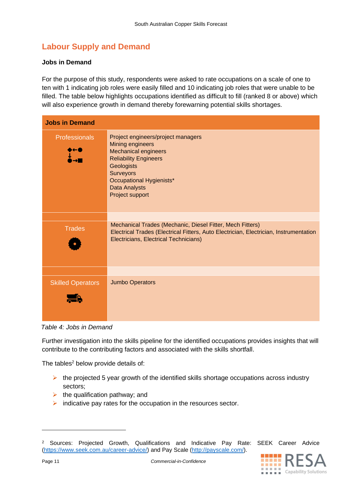# <span id="page-11-0"></span>**Labour Supply and Demand**

#### <span id="page-11-1"></span>**Jobs in Demand**

For the purpose of this study, respondents were asked to rate occupations on a scale of one to ten with 1 indicating job roles were easily filled and 10 indicating job roles that were unable to be filled. The table below highlights occupations identified as difficult to fill (ranked 8 or above) which will also experience growth in demand thereby forewarning potential skills shortages.

| <b>Jobs in Demand</b>       |                                                                                                                                                                                                                                |
|-----------------------------|--------------------------------------------------------------------------------------------------------------------------------------------------------------------------------------------------------------------------------|
| <b>Professionals</b><br>▸←● | Project engineers/project managers<br>Mining engineers<br><b>Mechanical engineers</b><br><b>Reliability Engineers</b><br><b>Geologists</b><br><b>Surveyors</b><br>Occupational Hygienists*<br>Data Analysts<br>Project support |
|                             |                                                                                                                                                                                                                                |
| <b>Trades</b>               | Mechanical Trades (Mechanic, Diesel Fitter, Mech Fitters)<br>Electrical Trades (Electrical Fitters, Auto Electrician, Electrician, Instrumentation<br>Electricians, Electrical Technicians)                                    |
|                             |                                                                                                                                                                                                                                |
| <b>Skilled Operators</b>    | <b>Jumbo Operators</b>                                                                                                                                                                                                         |

*Table 4: Jobs in Demand*

Further investigation into the skills pipeline for the identified occupations provides insights that will contribute to the contributing factors and associated with the skills shortfall.

The tables $2$  below provide details of:

- $\triangleright$  the projected 5 year growth of the identified skills shortage occupations across industry sectors;
- $\triangleright$  the qualification pathway; and
- $\triangleright$  indicative pay rates for the occupation in the resources sector.

<sup>&</sup>lt;sup>2</sup> Sources: Projected Growth, Qualifications and Indicative Pay Rate: SEEK Career Advice [\(https://www.seek.com.au/career-advice/\)](https://www.seek.com.au/career-advice/) and Pay Scale [\(http://payscale.com/\)](http://payscale.com/).

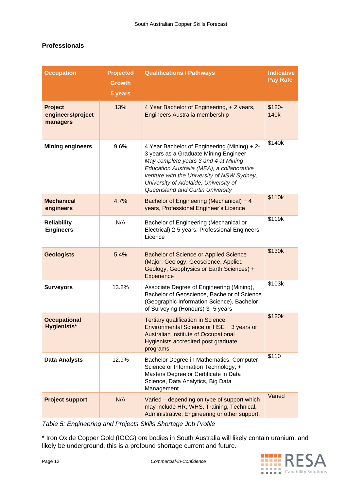#### **Professionals**

| <b>Occupation</b>                               | <b>Projected</b><br><b>Growth</b><br>5 years | <b>Qualifications / Pathways</b>                                                                                                                                                                                                                                                                       | <b>Indicative</b><br><b>Pay Rate</b> |
|-------------------------------------------------|----------------------------------------------|--------------------------------------------------------------------------------------------------------------------------------------------------------------------------------------------------------------------------------------------------------------------------------------------------------|--------------------------------------|
| <b>Project</b><br>engineers/project<br>managers | 13%                                          | 4 Year Bachelor of Engineering, + 2 years,<br><b>Engineers Australia membership</b>                                                                                                                                                                                                                    | $$120-$<br>140k                      |
| <b>Mining engineers</b>                         | 9.6%                                         | 4 Year Bachelor of Engineering (Mining) + 2-<br>3 years as a Graduate Mining Engineer<br>May complete years 3 and 4 at Mining<br>Education Australia (MEA), a collaborative<br>venture with the University of NSW Sydney,<br>University of Adelaide, University of<br>Queensland and Curtin University | \$140k                               |
| <b>Mechanical</b><br>engineers                  | 4.7%                                         | Bachelor of Engineering (Mechanical) + 4<br>years, Professional Engineer's Licence                                                                                                                                                                                                                     | \$110k                               |
| <b>Reliability</b><br><b>Engineers</b>          | N/A                                          | Bachelor of Engineering (Mechanical or<br>Electrical) 2-5 years, Professional Engineers<br>Licence                                                                                                                                                                                                     | \$119k                               |
| <b>Geologists</b>                               | 5.4%                                         | <b>Bachelor of Science or Applied Science</b><br>(Major: Geology, Geoscience, Applied<br>Geology, Geophysics or Earth Sciences) +<br>Experience                                                                                                                                                        | \$130k                               |
| <b>Surveyors</b>                                | 13.2%                                        | Associate Degree of Engineering (Mining),<br>Bachelor of Geoscience, Bachelor of Science<br>(Geographic Information Science), Bachelor<br>of Surveying (Honours) 3 -5 years                                                                                                                            | \$103k                               |
| <b>Occupational</b><br><b>Hygienists*</b>       |                                              | Tertiary qualification in Science,<br>Environmental Science or HSE + 3 years or<br><b>Australian Institute of Occupational</b><br>Hygienists accredited post graduate<br>programs                                                                                                                      | \$120k                               |
| <b>Data Analysts</b>                            | 12.9%                                        | Bachelor Degree in Mathematics, Computer<br>Science or Information Technology, +<br>Masters Degree or Certificate in Data<br>Science, Data Analytics, Big Data<br>Management                                                                                                                           | \$110                                |
| <b>Project support</b>                          | N/A                                          | Varied - depending on type of support which<br>may include HR, WHS, Training, Technical,<br>Administrative, Engineering or other support.                                                                                                                                                              | Varied                               |

*Table 5: Engineering and Projects Skills Shortage Job Profile*

\* Iron Oxide Copper Gold (IOCG) ore bodies in South Australia will likely contain uranium, and likely be underground, this is a profound shortage current and future.

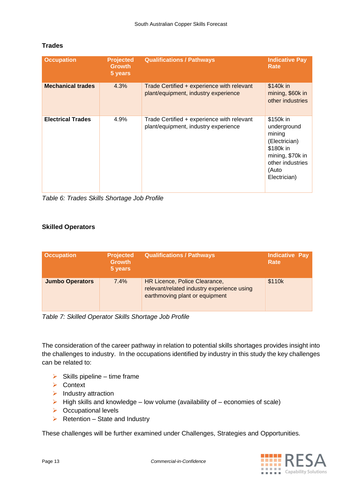| <b>Occupation</b>        | <b>Projected</b><br><b>Growth</b><br>5 years | <b>Qualifications / Pathways</b>                                                   | <b>Indicative Pay</b><br>Rate                                                                                                     |
|--------------------------|----------------------------------------------|------------------------------------------------------------------------------------|-----------------------------------------------------------------------------------------------------------------------------------|
| <b>Mechanical trades</b> | 4.3%                                         | Trade Certified + experience with relevant<br>plant/equipment, industry experience | \$140k in<br>mining, \$60k in<br>other industries                                                                                 |
| <b>Electrical Trades</b> | 4.9%                                         | Trade Certified + experience with relevant<br>plant/equipment, industry experience | \$150k in<br>underground<br>mining<br>(Electrician)<br>\$180k in<br>mining, \$70k in<br>other industries<br>(Auto<br>Electrician) |

#### **Trades**

*Table 6: Trades Skills Shortage Job Profile*

#### **Skilled Operators**

| <b>Occupation</b>      | <b>Projected</b><br><b>Growth</b><br>5 years | <b>Qualifications / Pathways</b>                                                                              | <b>Indicative Pay</b><br>Rate |
|------------------------|----------------------------------------------|---------------------------------------------------------------------------------------------------------------|-------------------------------|
| <b>Jumbo Operators</b> | $7.4\%$                                      | HR Licence, Police Clearance,<br>relevant/related industry experience using<br>earthmoving plant or equipment | \$110k                        |

*Table 7: Skilled Operator Skills Shortage Job Profile*

The consideration of the career pathway in relation to potential skills shortages provides insight into the challenges to industry. In the occupations identified by industry in this study the key challenges can be related to:

- $\triangleright$  Skills pipeline time frame
- ➢ Context
- ➢ Industry attraction
- $\triangleright$  High skills and knowledge low volume (availability of economies of scale)
- ➢ Occupational levels
- $\triangleright$  Retention State and Industry

These challenges will be further examined under Challenges, Strategies and Opportunities.

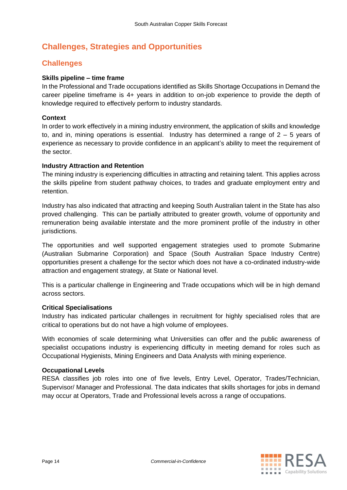# <span id="page-14-0"></span>**Challenges, Strategies and Opportunities**

## <span id="page-14-1"></span>**Challenges**

#### <span id="page-14-2"></span>**Skills pipeline – time frame**

In the Professional and Trade occupations identified as Skills Shortage Occupations in Demand the career pipeline timeframe is 4+ years in addition to on-job experience to provide the depth of knowledge required to effectively perform to industry standards.

#### <span id="page-14-3"></span>**Context**

In order to work effectively in a mining industry environment, the application of skills and knowledge to, and in, mining operations is essential. Industry has determined a range of  $2 - 5$  years of experience as necessary to provide confidence in an applicant's ability to meet the requirement of the sector.

#### <span id="page-14-4"></span>**Industry Attraction and Retention**

The mining industry is experiencing difficulties in attracting and retaining talent. This applies across the skills pipeline from student pathway choices, to trades and graduate employment entry and retention.

Industry has also indicated that attracting and keeping South Australian talent in the State has also proved challenging. This can be partially attributed to greater growth, volume of opportunity and remuneration being available interstate and the more prominent profile of the industry in other jurisdictions.

The opportunities and well supported engagement strategies used to promote Submarine (Australian Submarine Corporation) and Space (South Australian Space Industry Centre) opportunities present a challenge for the sector which does not have a co-ordinated industry-wide attraction and engagement strategy, at State or National level.

This is a particular challenge in Engineering and Trade occupations which will be in high demand across sectors.

#### <span id="page-14-5"></span>**Critical Specialisations**

Industry has indicated particular challenges in recruitment for highly specialised roles that are critical to operations but do not have a high volume of employees.

With economies of scale determining what Universities can offer and the public awareness of specialist occupations industry is experiencing difficulty in meeting demand for roles such as Occupational Hygienists, Mining Engineers and Data Analysts with mining experience.

#### <span id="page-14-6"></span>**Occupational Levels**

<span id="page-14-7"></span>RESA classifies job roles into one of five levels, Entry Level, Operator, Trades/Technician, Supervisor/ Manager and Professional. The data indicates that skills shortages for jobs in demand may occur at Operators, Trade and Professional levels across a range of occupations.

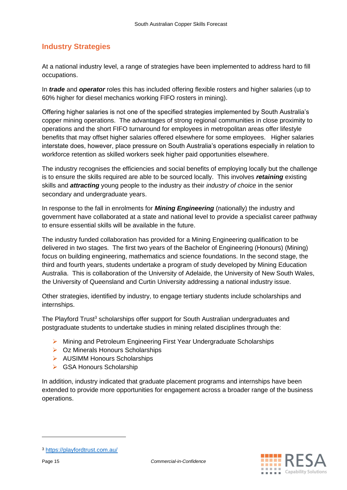## **Industry Strategies**

At a national industry level, a range of strategies have been implemented to address hard to fill occupations.

In *trade* and *operator* roles this has included offering flexible rosters and higher salaries (up to 60% higher for diesel mechanics working FIFO rosters in mining).

Offering higher salaries is not one of the specified strategies implemented by South Australia's copper mining operations. The advantages of strong regional communities in close proximity to operations and the short FIFO turnaround for employees in metropolitan areas offer lifestyle benefits that may offset higher salaries offered elsewhere for some employees. Higher salaries interstate does, however, place pressure on South Australia's operations especially in relation to workforce retention as skilled workers seek higher paid opportunities elsewhere.

The industry recognises the efficiencies and social benefits of employing locally but the challenge is to ensure the skills required are able to be sourced locally. This involves *retaining* existing skills and *attracting* young people to the industry as their *industry of choice* in the senior secondary and undergraduate years.

In response to the fall in enrolments for *Mining Engineering* (nationally) the industry and government have collaborated at a state and national level to provide a specialist career pathway to ensure essential skills will be available in the future.

The industry funded collaboration has provided for a Mining Engineering qualification to be delivered in two stages. The first two years of the Bachelor of Engineering (Honours) (Mining) focus on building engineering, mathematics and science foundations. In the second stage, the third and fourth years, students undertake a program of study developed by Mining Education Australia. This is collaboration of the University of Adelaide, the University of New South Wales, the University of Queensland and Curtin University addressing a national industry issue.

Other strategies, identified by industry, to engage tertiary students include scholarships and internships.

The Playford Trust<sup>3</sup> scholarships offer support for South Australian undergraduates and postgraduate students to undertake studies in mining related disciplines through the:

- ➢ Mining and Petroleum Engineering First Year Undergraduate Scholarships
- ➢ Oz Minerals Honours Scholarships
- ➢ AUSIMM Honours Scholarships
- ➢ GSA Honours Scholarship

In addition, industry indicated that graduate placement programs and internships have been extended to provide more opportunities for engagement across a broader range of the business operations.

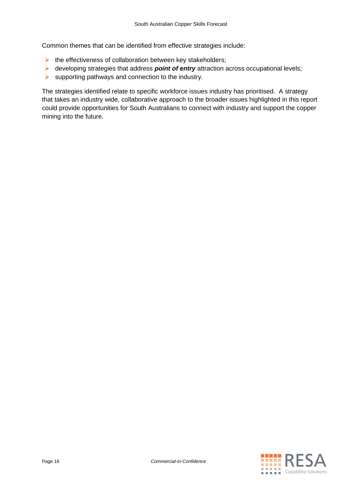Common themes that can be identified from effective strategies include:

- $\triangleright$  the effectiveness of collaboration between key stakeholders;
- ➢ developing strategies that address *point of entry* attraction across occupational levels;
- $\triangleright$  supporting pathways and connection to the industry.

<span id="page-16-0"></span>The strategies identified relate to specific workforce issues industry has prioritised. A strategy that takes an industry wide, collaborative approach to the broader issues highlighted in this report could provide opportunities for South Australians to connect with industry and support the copper mining into the future.

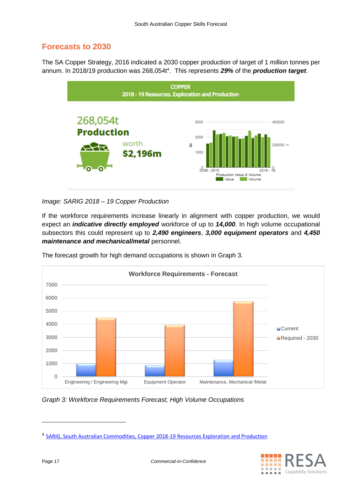# **Forecasts to 2030**

The SA Copper Strategy, 2016 indicated a 2030 copper production of target of 1 million tonnes per annum. In 2018/19 production was 268,054t<sup>4</sup>. This represents 29% of the *production target*.



*Image: SARIG 2018 – 19 Copper Production*

If the workforce requirements increase linearly in alignment with copper production, we would expect an *indicative directly employed* workforce of up to *14,000*. In high volume occupational subsectors this could represent up to *2,490 engineers*, *3,000 equipment operators* and *4,450 maintenance and mechanical/metal* personnel.



The forecast growth for high demand occupations is shown in Graph 3.

<sup>&</sup>lt;sup>4</sup> [SARIG, South Australian Commodities, Copper 2018-19 Resources](https://map.sarig.sa.gov.au/MapViewer/StartUp/?siteParams=DashboardWidget%7CcommoditiesIndicators) Exploration and Production



*Graph 3: Workforce Requirements Forecast, High Volume Occupations*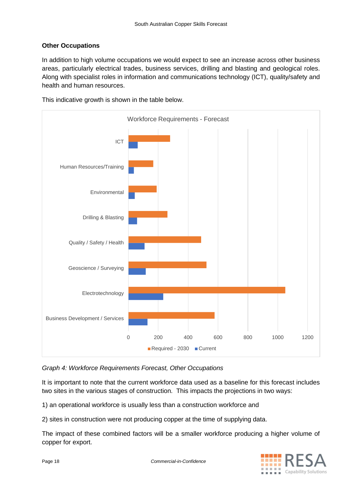#### **Other Occupations**

In addition to high volume occupations we would expect to see an increase across other business areas, particularly electrical trades, business services, drilling and blasting and geological roles. Along with specialist roles in information and communications technology (ICT), quality/safety and health and human resources.



This indicative growth is shown in the table below.

*Graph 4: Workforce Requirements Forecast, Other Occupations* 

It is important to note that the current workforce data used as a baseline for this forecast includes two sites in the various stages of construction. This impacts the projections in two ways:

1) an operational workforce is usually less than a construction workforce and

2) sites in construction were not producing copper at the time of supplying data.

The impact of these combined factors will be a smaller workforce producing a higher volume of copper for export.

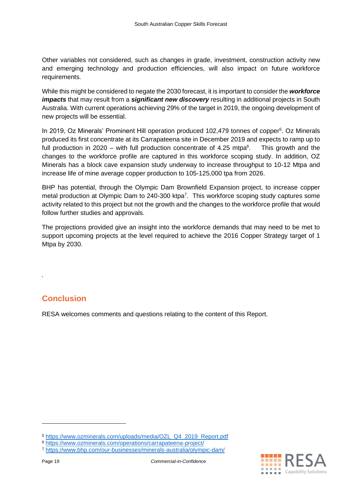Other variables not considered, such as changes in grade, investment, construction activity new and emerging technology and production efficiencies, will also impact on future workforce requirements.

While this might be considered to negate the 2030 forecast, it is important to consider the *workforce impacts* that may result from a *significant new discovery* resulting in additional projects in South Australia. With current operations achieving 29% of the target in 2019, the ongoing development of new projects will be essential.

In 2019, Oz Minerals' Prominent Hill operation produced 102,479 tonnes of copper<sup>5</sup>. Oz Minerals produced its first concentrate at its Carrapateena site in December 2019 and expects to ramp up to full production in 2020 – with full production concentrate of 4.25 mtpa $6$ . . This growth and the changes to the workforce profile are captured in this workforce scoping study. In addition, OZ Minerals has a block cave expansion study underway to increase throughput to 10-12 Mtpa and increase life of mine average copper production to 105-125,000 tpa from 2026.

BHP has potential, through the Olympic Dam Brownfield Expansion project, to increase copper metal production at Olympic Dam to 240-300 ktpa<sup>7</sup>. This workforce scoping study captures some activity related to this project but not the growth and the changes to the workforce profile that would follow further studies and approvals.

The projections provided give an insight into the workforce demands that may need to be met to support upcoming projects at the level required to achieve the 2016 Copper Strategy target of 1 Mtpa by 2030.

# <span id="page-19-0"></span>**Conclusion**

*.* 

RESA welcomes comments and questions relating to the content of this Report.



<sup>5</sup> [https://www.ozminerals.com/uploads/media/OZL\\_Q4\\_2019\\_Report.pdf](https://www.ozminerals.com/uploads/media/OZL_Q4_2019_Report.pdf)

<sup>6</sup> <https://www.ozminerals.com/operations/carrapateena-project/>

<sup>7</sup> <https://www.bhp.com/our-businesses/minerals-australia/olympic-dam/>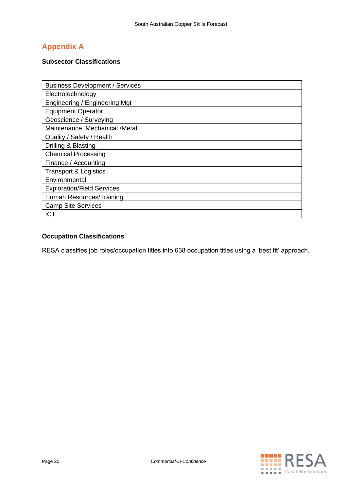# <span id="page-20-0"></span>**Appendix A**

#### <span id="page-20-1"></span>**Subsector Classifications**

| <b>Business Development / Services</b> |
|----------------------------------------|
| Electrotechnology                      |
| Engineering / Engineering Mat          |
| <b>Equipment Operator</b>              |
| Geoscience / Surveying                 |
| Maintenance, Mechanical /Metal         |
| Quality / Safety / Health              |
| Drilling & Blasting                    |
| <b>Chemical Processing</b>             |
| Finance / Accounting                   |
| <b>Transport &amp; Logistics</b>       |
| Environmental                          |
| <b>Exploration/Field Services</b>      |
| Human Resources/Training               |
| <b>Camp Site Services</b>              |
| <b>ICT</b>                             |

## **Occupation Classifications**

RESA classifies job roles/occupation titles into 638 occupation titles using a 'best fit' approach.

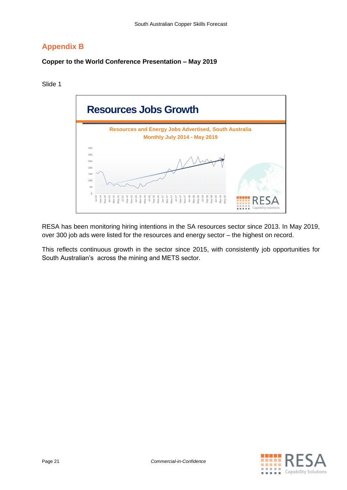# <span id="page-21-0"></span>**Appendix B**

#### <span id="page-21-1"></span>**Copper to the World Conference Presentation – May 2019**

Slide 1



RESA has been monitoring hiring intentions in the SA resources sector since 2013. In May 2019, over 300 job ads were listed for the resources and energy sector – the highest on record.

This reflects continuous growth in the sector since 2015, with consistently job opportunities for South Australian's across the mining and METS sector.

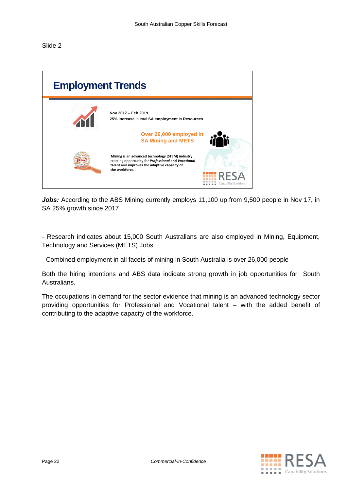Slide 2

| <b>Employment Trends</b> |                                                                                                                                                                                                    |
|--------------------------|----------------------------------------------------------------------------------------------------------------------------------------------------------------------------------------------------|
|                          | Nov 2017 - Feb 2019<br>25% increase in total SA employment in Resources                                                                                                                            |
|                          | Over 26,000 employed in<br><b>SA Mining and METS</b>                                                                                                                                               |
|                          | Mining is an advanced technology (STEM) industry<br>creating opportunity for Professional and Vocational<br>talent and improves the adaptive capacity of<br>the workforce.<br>Capability Solutions |

Jobs: According to the ABS Mining currently employs 11,100 up from 9,500 people in Nov 17, in SA 25% growth since 2017

- Research indicates about 15,000 South Australians are also employed in Mining, Equipment, Technology and Services (METS) Jobs

- Combined employment in all facets of mining in South Australia is over 26,000 people

Both the hiring intentions and ABS data indicate strong growth in job opportunities for South Australians.

The occupations in demand for the sector evidence that mining is an advanced technology sector providing opportunities for Professional and Vocational talent – with the added benefit of contributing to the adaptive capacity of the workforce.

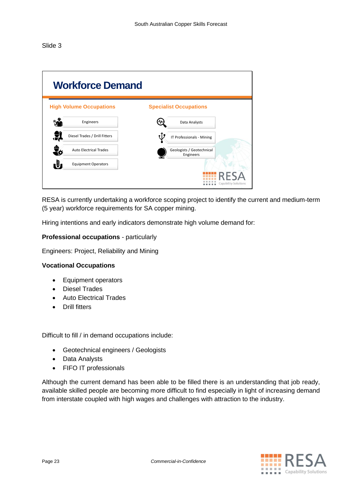Slide 3

| <b>Workforce Demand</b>          |                                        |
|----------------------------------|----------------------------------------|
| <b>High Volume Occupations</b>   | <b>Specialist Occupations</b>          |
| Engineers                        | Data Analysts                          |
| Diesel Trades / Drill Fitters    | IT Professionals - Mining              |
| <b>Auto Electrical Trades</b>    | Geologists / Geotechnical<br>Engineers |
| ı.<br><b>Equipment Operators</b> |                                        |
|                                  | Capability Solutions                   |

RESA is currently undertaking a workforce scoping project to identify the current and medium-term (5 year) workforce requirements for SA copper mining.

Hiring intentions and early indicators demonstrate high volume demand for:

#### **Professional occupations** - particularly

Engineers: Project, Reliability and Mining

#### **Vocational Occupations**

- Equipment operators
- Diesel Trades
- Auto Electrical Trades
- Drill fitters

Difficult to fill / in demand occupations include:

- Geotechnical engineers / Geologists
- Data Analysts
- FIFO IT professionals

Although the current demand has been able to be filled there is an understanding that job ready, available skilled people are becoming more difficult to find especially in light of increasing demand from interstate coupled with high wages and challenges with attraction to the industry.